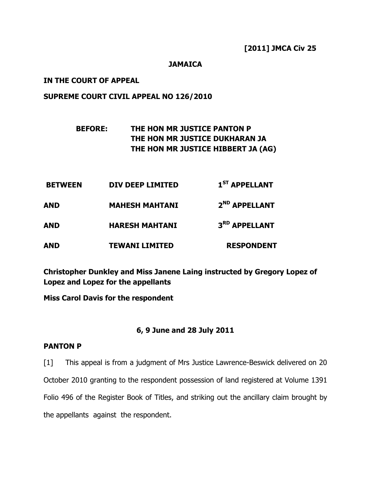### JAMAICA

### IN THE COURT OF APPEAL

### SUPREME COURT CIVIL APPEAL NO 126/2010

# BEFORE: THE HON MR JUSTICE PANTON P THE HON MR JUSTICE DUKHARAN JA THE HON MR JUSTICE HIBBERT JA (AG)

| <b>BETWEEN</b><br><b>AND</b><br><b>AND</b> | DIV DEEP LIMITED                               | 1 <sup>ST</sup> APPELLANT                  |
|--------------------------------------------|------------------------------------------------|--------------------------------------------|
|                                            | <b>MAHESH MAHTANI</b><br><b>HARESH MAHTANI</b> | 2 <sup>ND</sup> APPELLANT<br>3RD APPELLANT |
|                                            |                                                |                                            |

Christopher Dunkley and Miss Janene Laing instructed by Gregory Lopez of Lopez and Lopez for the appellants

Miss Carol Davis for the respondent

### 6, 9 June and 28 July 2011

#### PANTON P

[1] This appeal is from a judgment of Mrs Justice Lawrence-Beswick delivered on 20 October 2010 granting to the respondent possession of land registered at Volume 1391 Folio 496 of the Register Book of Titles, and striking out the ancillary claim brought by the appellants against the respondent.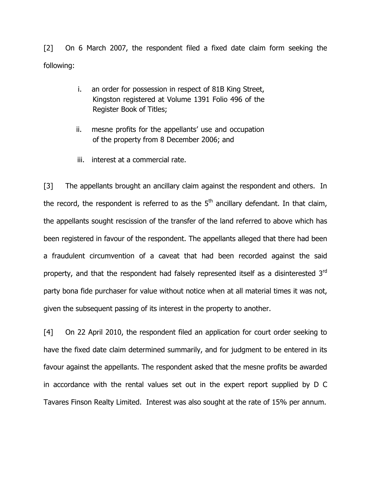[2] On 6 March 2007, the respondent filed a fixed date claim form seeking the following:

- i. an order for possession in respect of 81B King Street, Kingston registered at Volume 1391 Folio 496 of the Register Book of Titles;
- ii. mesne profits for the appellants' use and occupation of the property from 8 December 2006; and
- iii. interest at a commercial rate.

[3] The appellants brought an ancillary claim against the respondent and others. In the record, the respondent is referred to as the  $5<sup>th</sup>$  ancillary defendant. In that claim, the appellants sought rescission of the transfer of the land referred to above which has been registered in favour of the respondent. The appellants alleged that there had been a fraudulent circumvention of a caveat that had been recorded against the said property, and that the respondent had falsely represented itself as a disinterested 3<sup>rd</sup> party bona fide purchaser for value without notice when at all material times it was not, given the subsequent passing of its interest in the property to another.

[4] On 22 April 2010, the respondent filed an application for court order seeking to have the fixed date claim determined summarily, and for judgment to be entered in its favour against the appellants. The respondent asked that the mesne profits be awarded in accordance with the rental values set out in the expert report supplied by D C Tavares Finson Realty Limited. Interest was also sought at the rate of 15% per annum.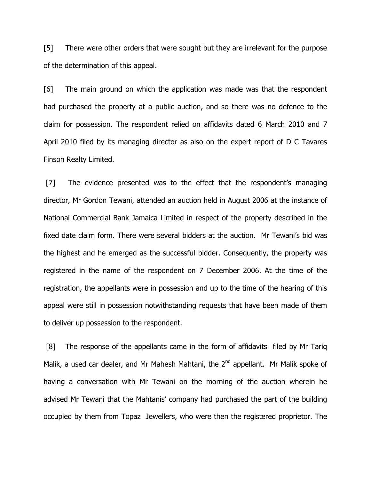[5] There were other orders that were sought but they are irrelevant for the purpose of the determination of this appeal.

[6] The main ground on which the application was made was that the respondent had purchased the property at a public auction, and so there was no defence to the claim for possession. The respondent relied on affidavits dated 6 March 2010 and 7 April 2010 filed by its managing director as also on the expert report of D C Tavares Finson Realty Limited.

 [7] The evidence presented was to the effect that the respondent's managing director, Mr Gordon Tewani, attended an auction held in August 2006 at the instance of National Commercial Bank Jamaica Limited in respect of the property described in the fixed date claim form. There were several bidders at the auction. Mr Tewani's bid was the highest and he emerged as the successful bidder. Consequently, the property was registered in the name of the respondent on 7 December 2006. At the time of the registration, the appellants were in possession and up to the time of the hearing of this appeal were still in possession notwithstanding requests that have been made of them to deliver up possession to the respondent.

[8] The response of the appellants came in the form of affidavits filed by Mr Tariq Malik, a used car dealer, and Mr Mahesh Mahtani, the 2<sup>nd</sup> appellant. Mr Malik spoke of having a conversation with Mr Tewani on the morning of the auction wherein he advised Mr Tewani that the Mahtanis' company had purchased the part of the building occupied by them from Topaz Jewellers, who were then the registered proprietor. The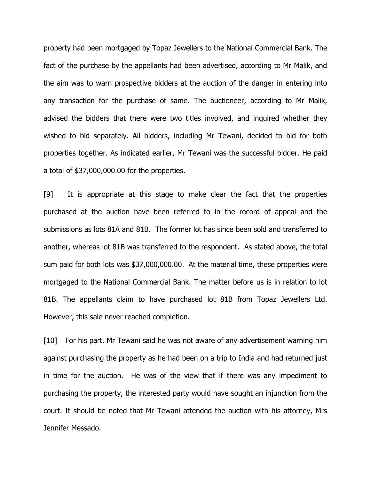property had been mortgaged by Topaz Jewellers to the National Commercial Bank. The fact of the purchase by the appellants had been advertised, according to Mr Malik, and the aim was to warn prospective bidders at the auction of the danger in entering into any transaction for the purchase of same. The auctioneer, according to Mr Malik, advised the bidders that there were two titles involved, and inquired whether they wished to bid separately. All bidders, including Mr Tewani, decided to bid for both properties together. As indicated earlier, Mr Tewani was the successful bidder. He paid a total of \$37,000,000.00 for the properties.

[9] It is appropriate at this stage to make clear the fact that the properties purchased at the auction have been referred to in the record of appeal and the submissions as lots 81A and 81B. The former lot has since been sold and transferred to another, whereas lot 81B was transferred to the respondent. As stated above, the total sum paid for both lots was \$37,000,000.00. At the material time, these properties were mortgaged to the National Commercial Bank. The matter before us is in relation to lot 81B. The appellants claim to have purchased lot 81B from Topaz Jewellers Ltd. However, this sale never reached completion.

[10] For his part, Mr Tewani said he was not aware of any advertisement warning him against purchasing the property as he had been on a trip to India and had returned just in time for the auction. He was of the view that if there was any impediment to purchasing the property, the interested party would have sought an injunction from the court. It should be noted that Mr Tewani attended the auction with his attorney, Mrs Jennifer Messado.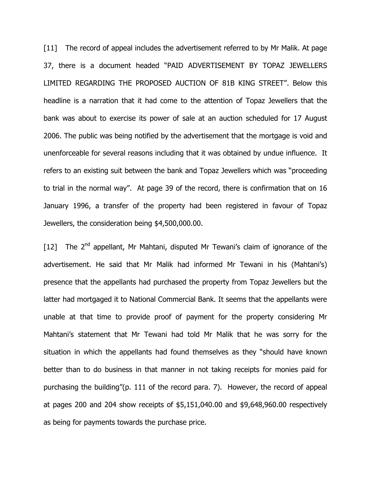[11] The record of appeal includes the advertisement referred to by Mr Malik. At page 37, there is a document headed "PAID ADVERTISEMENT BY TOPAZ JEWELLERS LIMITED REGARDING THE PROPOSED AUCTION OF 81B KING STREET". Below this headline is a narration that it had come to the attention of Topaz Jewellers that the bank was about to exercise its power of sale at an auction scheduled for 17 August 2006. The public was being notified by the advertisement that the mortgage is void and unenforceable for several reasons including that it was obtained by undue influence. It refers to an existing suit between the bank and Topaz Jewellers which was "proceeding to trial in the normal way". At page 39 of the record, there is confirmation that on 16 January 1996, a transfer of the property had been registered in favour of Topaz Jewellers, the consideration being \$4,500,000.00.

[12] The  $2<sup>nd</sup>$  appellant, Mr Mahtani, disputed Mr Tewani's claim of ignorance of the advertisement. He said that Mr Malik had informed Mr Tewani in his (Mahtani's) presence that the appellants had purchased the property from Topaz Jewellers but the latter had mortgaged it to National Commercial Bank. It seems that the appellants were unable at that time to provide proof of payment for the property considering Mr Mahtani's statement that Mr Tewani had told Mr Malik that he was sorry for the situation in which the appellants had found themselves as they "should have known better than to do business in that manner in not taking receipts for monies paid for purchasing the building"(p. 111 of the record para. 7). However, the record of appeal at pages 200 and 204 show receipts of \$5,151,040.00 and \$9,648,960.00 respectively as being for payments towards the purchase price.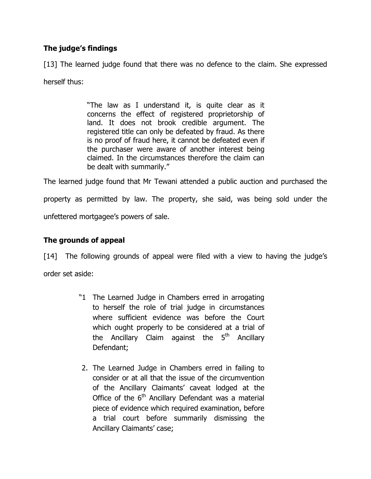# The judge's findings

[13] The learned judge found that there was no defence to the claim. She expressed

herself thus:

"The law as I understand it, is quite clear as it concerns the effect of registered proprietorship of land. It does not brook credible argument. The registered title can only be defeated by fraud. As there is no proof of fraud here, it cannot be defeated even if the purchaser were aware of another interest being claimed. In the circumstances therefore the claim can be dealt with summarily."

The learned judge found that Mr Tewani attended a public auction and purchased the property as permitted by law. The property, she said, was being sold under the unfettered mortgagee's powers of sale.

# The grounds of appeal

[14] The following grounds of appeal were filed with a view to having the judge's order set aside:

- "1 The Learned Judge in Chambers erred in arrogating to herself the role of trial judge in circumstances where sufficient evidence was before the Court which ought properly to be considered at a trial of the Ancillary Claim against the  $5<sup>th</sup>$  Ancillary Defendant;
- 2. The Learned Judge in Chambers erred in failing to consider or at all that the issue of the circumvention of the Ancillary Claimants' caveat lodged at the Office of the  $6<sup>th</sup>$  Ancillary Defendant was a material piece of evidence which required examination, before a trial court before summarily dismissing the Ancillary Claimants' case;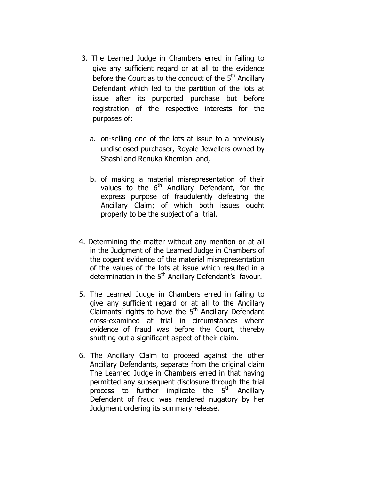- 3. The Learned Judge in Chambers erred in failing to give any sufficient regard or at all to the evidence before the Court as to the conduct of the  $5<sup>th</sup>$  Ancillary Defendant which led to the partition of the lots at issue after its purported purchase but before registration of the respective interests for the purposes of:
	- a. on-selling one of the lots at issue to a previously undisclosed purchaser, Royale Jewellers owned by Shashi and Renuka Khemlani and,
	- b. of making a material misrepresentation of their values to the  $6<sup>th</sup>$  Ancillary Defendant, for the express purpose of fraudulently defeating the Ancillary Claim; of which both issues ought properly to be the subject of a trial.
- 4. Determining the matter without any mention or at all in the Judgment of the Learned Judge in Chambers of the cogent evidence of the material misrepresentation of the values of the lots at issue which resulted in a determination in the  $5<sup>th</sup>$  Ancillary Defendant's favour.
- 5. The Learned Judge in Chambers erred in failing to give any sufficient regard or at all to the Ancillary Claimants' rights to have the  $5<sup>th</sup>$  Ancillary Defendant cross-examined at trial in circumstances where evidence of fraud was before the Court, thereby shutting out a significant aspect of their claim.
- 6. The Ancillary Claim to proceed against the other Ancillary Defendants, separate from the original claim The Learned Judge in Chambers erred in that having permitted any subsequent disclosure through the trial process to further implicate the 5<sup>th</sup> Ancillary Defendant of fraud was rendered nugatory by her Judgment ordering its summary release.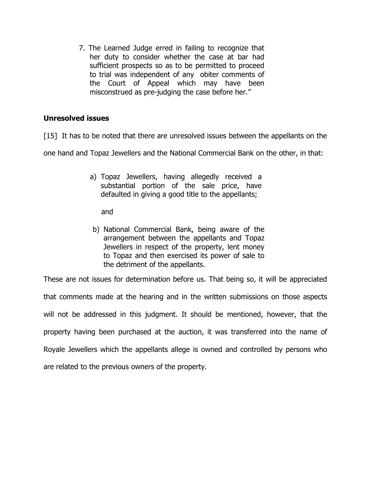7. The Learned Judge erred in failing to recognize that her duty to consider whether the case at bar had sufficient prospects so as to be permitted to proceed to trial was independent of any obiter comments of the Court of Appeal which may have been misconstrued as pre-judging the case before her."

### Unresolved issues

[15] It has to be noted that there are unresolved issues between the appellants on the

one hand and Topaz Jewellers and the National Commercial Bank on the other, in that:

a) Topaz Jewellers, having allegedly received a substantial portion of the sale price, have defaulted in giving a good title to the appellants;

and

b) National Commercial Bank, being aware of the arrangement between the appellants and Topaz Jewellers in respect of the property, lent money to Topaz and then exercised its power of sale to the detriment of the appellants.

These are not issues for determination before us. That being so, it will be appreciated

that comments made at the hearing and in the written submissions on those aspects will not be addressed in this judgment. It should be mentioned, however, that the property having been purchased at the auction, it was transferred into the name of Royale Jewellers which the appellants allege is owned and controlled by persons who are related to the previous owners of the property.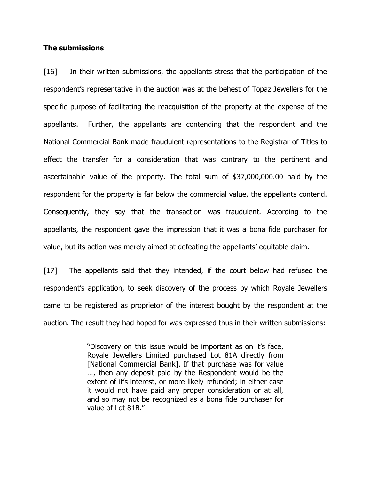#### The submissions

[16] In their written submissions, the appellants stress that the participation of the respondent's representative in the auction was at the behest of Topaz Jewellers for the specific purpose of facilitating the reacquisition of the property at the expense of the appellants. Further, the appellants are contending that the respondent and the National Commercial Bank made fraudulent representations to the Registrar of Titles to effect the transfer for a consideration that was contrary to the pertinent and ascertainable value of the property. The total sum of \$37,000,000.00 paid by the respondent for the property is far below the commercial value, the appellants contend. Consequently, they say that the transaction was fraudulent. According to the appellants, the respondent gave the impression that it was a bona fide purchaser for value, but its action was merely aimed at defeating the appellants' equitable claim.

[17] The appellants said that they intended, if the court below had refused the respondent's application, to seek discovery of the process by which Royale Jewellers came to be registered as proprietor of the interest bought by the respondent at the auction. The result they had hoped for was expressed thus in their written submissions:

> "Discovery on this issue would be important as on it's face, Royale Jewellers Limited purchased Lot 81A directly from [National Commercial Bank]. If that purchase was for value …, then any deposit paid by the Respondent would be the extent of it's interest, or more likely refunded; in either case it would not have paid any proper consideration or at all, and so may not be recognized as a bona fide purchaser for value of Lot 81B."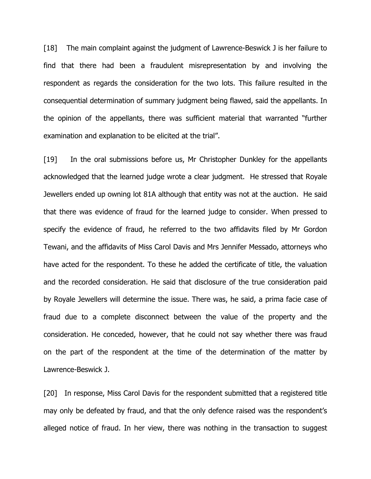[18] The main complaint against the judgment of Lawrence-Beswick J is her failure to find that there had been a fraudulent misrepresentation by and involving the respondent as regards the consideration for the two lots. This failure resulted in the consequential determination of summary judgment being flawed, said the appellants. In the opinion of the appellants, there was sufficient material that warranted "further examination and explanation to be elicited at the trial".

[19] In the oral submissions before us, Mr Christopher Dunkley for the appellants acknowledged that the learned judge wrote a clear judgment. He stressed that Royale Jewellers ended up owning lot 81A although that entity was not at the auction. He said that there was evidence of fraud for the learned judge to consider. When pressed to specify the evidence of fraud, he referred to the two affidavits filed by Mr Gordon Tewani, and the affidavits of Miss Carol Davis and Mrs Jennifer Messado, attorneys who have acted for the respondent. To these he added the certificate of title, the valuation and the recorded consideration. He said that disclosure of the true consideration paid by Royale Jewellers will determine the issue. There was, he said, a prima facie case of fraud due to a complete disconnect between the value of the property and the consideration. He conceded, however, that he could not say whether there was fraud on the part of the respondent at the time of the determination of the matter by Lawrence-Beswick J.

[20] In response, Miss Carol Davis for the respondent submitted that a registered title may only be defeated by fraud, and that the only defence raised was the respondent's alleged notice of fraud. In her view, there was nothing in the transaction to suggest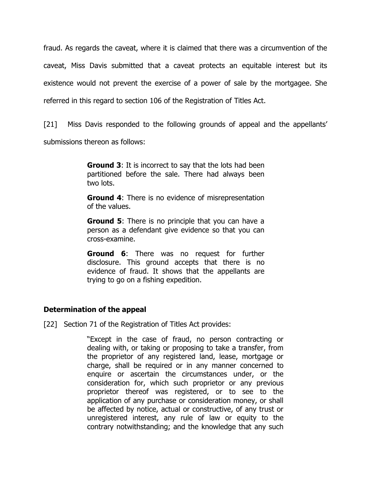fraud. As regards the caveat, where it is claimed that there was a circumvention of the caveat, Miss Davis submitted that a caveat protects an equitable interest but its existence would not prevent the exercise of a power of sale by the mortgagee. She referred in this regard to section 106 of the Registration of Titles Act.

[21] Miss Davis responded to the following grounds of appeal and the appellants' submissions thereon as follows:

> **Ground 3:** It is incorrect to say that the lots had been partitioned before the sale. There had always been two lots.

> **Ground 4:** There is no evidence of misrepresentation of the values.

> **Ground 5:** There is no principle that you can have a person as a defendant give evidence so that you can cross-examine.

> **Ground 6:** There was no request for further disclosure. This ground accepts that there is no evidence of fraud. It shows that the appellants are trying to go on a fishing expedition.

### Determination of the appeal

[22] Section 71 of the Registration of Titles Act provides:

"Except in the case of fraud, no person contracting or dealing with, or taking or proposing to take a transfer, from the proprietor of any registered land, lease, mortgage or charge, shall be required or in any manner concerned to enquire or ascertain the circumstances under, or the consideration for, which such proprietor or any previous proprietor thereof was registered, or to see to the application of any purchase or consideration money, or shall be affected by notice, actual or constructive, of any trust or unregistered interest, any rule of law or equity to the contrary notwithstanding; and the knowledge that any such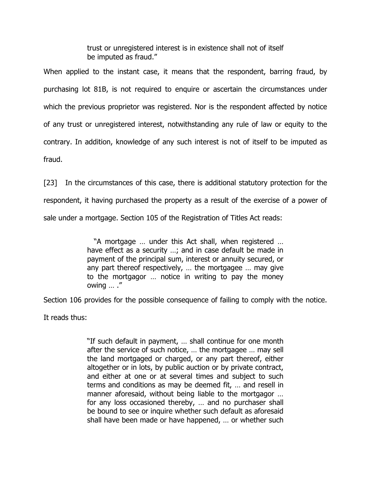trust or unregistered interest is in existence shall not of itself be imputed as fraud."

When applied to the instant case, it means that the respondent, barring fraud, by purchasing lot 81B, is not required to enquire or ascertain the circumstances under which the previous proprietor was registered. Nor is the respondent affected by notice of any trust or unregistered interest, notwithstanding any rule of law or equity to the contrary. In addition, knowledge of any such interest is not of itself to be imputed as fraud.

[23] In the circumstances of this case, there is additional statutory protection for the respondent, it having purchased the property as a result of the exercise of a power of sale under a mortgage. Section 105 of the Registration of Titles Act reads:

> "A mortgage … under this Act shall, when registered … have effect as a security ...; and in case default be made in payment of the principal sum, interest or annuity secured, or any part thereof respectively, … the mortgagee … may give to the mortgagor … notice in writing to pay the money owing … ."

Section 106 provides for the possible consequence of failing to comply with the notice.

It reads thus:

"If such default in payment, … shall continue for one month after the service of such notice, … the mortgagee … may sell the land mortgaged or charged, or any part thereof, either altogether or in lots, by public auction or by private contract, and either at one or at several times and subject to such terms and conditions as may be deemed fit, … and resell in manner aforesaid, without being liable to the mortgagor … for any loss occasioned thereby, … and no purchaser shall be bound to see or inquire whether such default as aforesaid shall have been made or have happened, … or whether such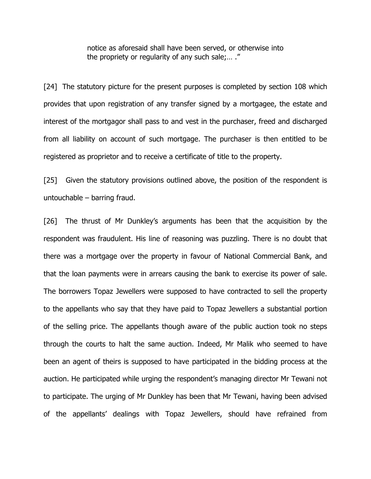notice as aforesaid shall have been served, or otherwise into the propriety or regularity of any such sale;… ."

[24] The statutory picture for the present purposes is completed by section 108 which provides that upon registration of any transfer signed by a mortgagee, the estate and interest of the mortgagor shall pass to and vest in the purchaser, freed and discharged from all liability on account of such mortgage. The purchaser is then entitled to be registered as proprietor and to receive a certificate of title to the property.

[25] Given the statutory provisions outlined above, the position of the respondent is untouchable – barring fraud.

[26] The thrust of Mr Dunkley's arguments has been that the acquisition by the respondent was fraudulent. His line of reasoning was puzzling. There is no doubt that there was a mortgage over the property in favour of National Commercial Bank, and that the loan payments were in arrears causing the bank to exercise its power of sale. The borrowers Topaz Jewellers were supposed to have contracted to sell the property to the appellants who say that they have paid to Topaz Jewellers a substantial portion of the selling price. The appellants though aware of the public auction took no steps through the courts to halt the same auction. Indeed, Mr Malik who seemed to have been an agent of theirs is supposed to have participated in the bidding process at the auction. He participated while urging the respondent's managing director Mr Tewani not to participate. The urging of Mr Dunkley has been that Mr Tewani, having been advised of the appellants' dealings with Topaz Jewellers, should have refrained from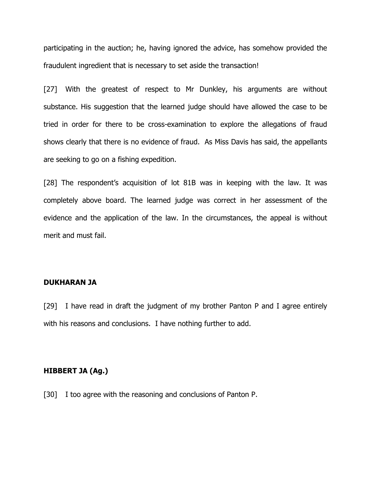participating in the auction; he, having ignored the advice, has somehow provided the fraudulent ingredient that is necessary to set aside the transaction!

[27] With the greatest of respect to Mr Dunkley, his arguments are without substance. His suggestion that the learned judge should have allowed the case to be tried in order for there to be cross-examination to explore the allegations of fraud shows clearly that there is no evidence of fraud. As Miss Davis has said, the appellants are seeking to go on a fishing expedition.

[28] The respondent's acquisition of lot 81B was in keeping with the law. It was completely above board. The learned judge was correct in her assessment of the evidence and the application of the law. In the circumstances, the appeal is without merit and must fail.

#### DUKHARAN JA

[29] I have read in draft the judgment of my brother Panton P and I agree entirely with his reasons and conclusions. I have nothing further to add.

#### HIBBERT JA (Ag.)

[30] I too agree with the reasoning and conclusions of Panton P.